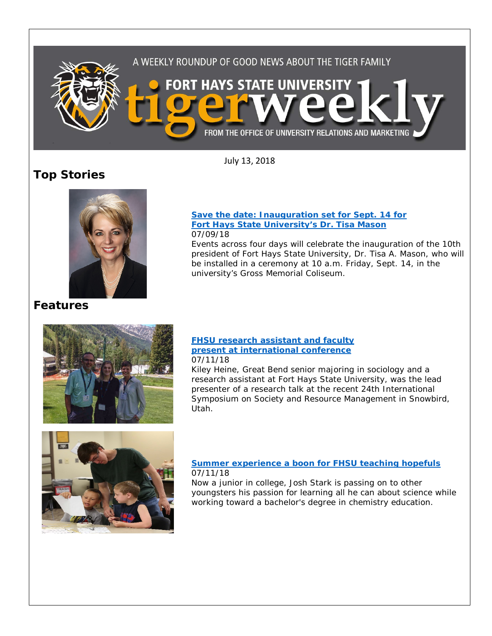

July 13, 2018

# **Top Stories**



**[Save the date: Inauguration set for Sept. 14 for](https://www.fhsu.edu/news/2018/07/save-the-date-inauguration-set-for-sept.-14-for-fort-hays-state-universitys-dr.-tisa-mason)  [Fort Hays State University's Dr. Tisa Mason](https://www.fhsu.edu/news/2018/07/save-the-date-inauguration-set-for-sept.-14-for-fort-hays-state-universitys-dr.-tisa-mason)** 07/09/18

Events across four days will celebrate the inauguration of the 10th president of Fort Hays State University, Dr. Tisa A. Mason, who will be installed in a ceremony at 10 a.m. Friday, Sept. 14, in the university's Gross Memorial Coliseum.

## **Features**



#### **[FHSU research assistant and faculty](https://www.fhsu.edu/news/2018/07/fhsu-research-assistant-and-faculty-present-at-international-conference)  [present at international conference](https://www.fhsu.edu/news/2018/07/fhsu-research-assistant-and-faculty-present-at-international-conference)** 07/11/18

Kiley Heine, Great Bend senior majoring in sociology and a research assistant at Fort Hays State University, was the lead presenter of a research talk at the recent 24th International Symposium on Society and Resource Management in Snowbird, Utah.



### **[Summer experience a boon for FHSU teaching hopefuls](https://www.fhsu.edu/news/2018/07/summer-experience-a-boon-for-fhsu-teaching-hopefuls)** 07/11/18

Now a junior in college, Josh Stark is passing on to other youngsters his passion for learning all he can about science while working toward a bachelor's degree in chemistry education.